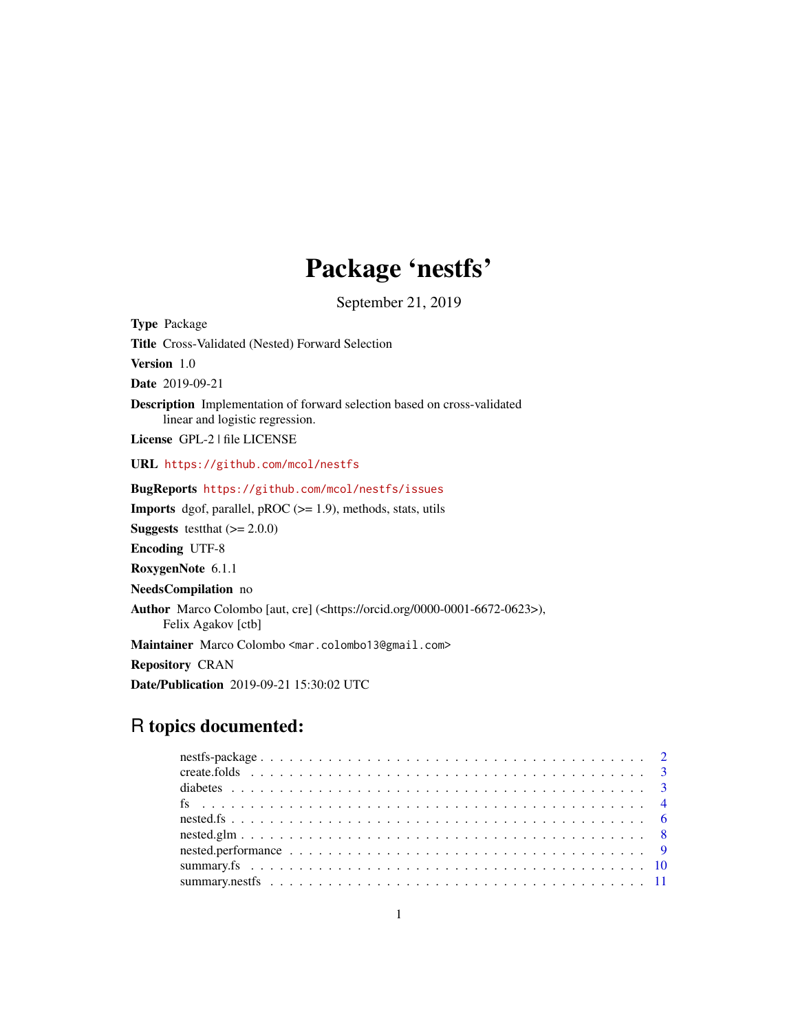## Package 'nestfs'

September 21, 2019

Type Package Title Cross-Validated (Nested) Forward Selection Version 1.0 Date 2019-09-21 Description Implementation of forward selection based on cross-validated linear and logistic regression. License GPL-2 | file LICENSE URL <https://github.com/mcol/nestfs> BugReports <https://github.com/mcol/nestfs/issues> **Imports** dgof, parallel, pROC  $(>= 1.9)$ , methods, stats, utils **Suggests** testthat  $(>= 2.0.0)$ Encoding UTF-8 RoxygenNote 6.1.1 NeedsCompilation no Author Marco Colombo [aut, cre] (<https://orcid.org/0000-0001-6672-0623>), Felix Agakov [ctb] Maintainer Marco Colombo <mar.colombo13@gmail.com> Repository CRAN Date/Publication 2019-09-21 15:30:02 UTC

### R topics documented: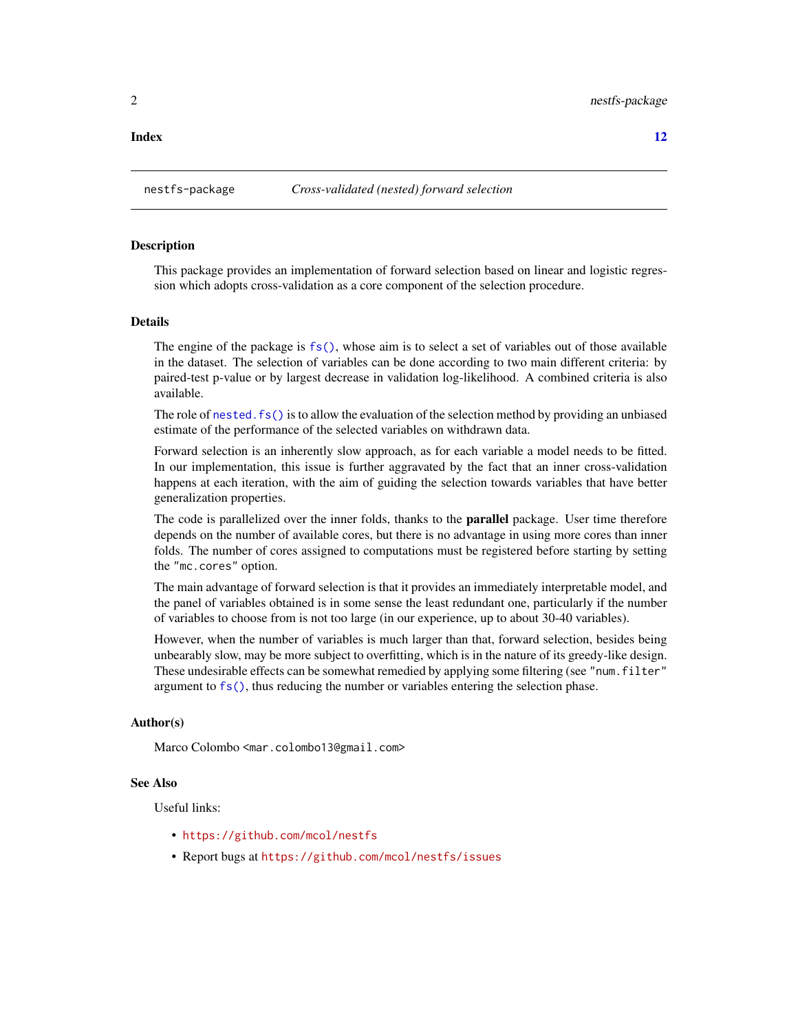#### <span id="page-1-0"></span>**Index** [12](#page-11-0)

#### **Description**

This package provides an implementation of forward selection based on linear and logistic regression which adopts cross-validation as a core component of the selection procedure.

#### Details

The engine of the package is  $fs()$ , whose aim is to select a set of variables out of those available in the dataset. The selection of variables can be done according to two main different criteria: by paired-test p-value or by largest decrease in validation log-likelihood. A combined criteria is also available.

The role of [nested.fs\(\)](#page-5-1) is to allow the evaluation of the selection method by providing an unbiased estimate of the performance of the selected variables on withdrawn data.

Forward selection is an inherently slow approach, as for each variable a model needs to be fitted. In our implementation, this issue is further aggravated by the fact that an inner cross-validation happens at each iteration, with the aim of guiding the selection towards variables that have better generalization properties.

The code is parallelized over the inner folds, thanks to the **parallel** package. User time therefore depends on the number of available cores, but there is no advantage in using more cores than inner folds. The number of cores assigned to computations must be registered before starting by setting the "mc.cores" option.

The main advantage of forward selection is that it provides an immediately interpretable model, and the panel of variables obtained is in some sense the least redundant one, particularly if the number of variables to choose from is not too large (in our experience, up to about 30-40 variables).

However, when the number of variables is much larger than that, forward selection, besides being unbearably slow, may be more subject to overfitting, which is in the nature of its greedy-like design. These undesirable effects can be somewhat remedied by applying some filtering (see "num. filter" argument to [fs\(\)](#page-3-1), thus reducing the number or variables entering the selection phase.

#### Author(s)

Marco Colombo <mar.colombo13@gmail.com>

#### See Also

Useful links:

- <https://github.com/mcol/nestfs>
- Report bugs at <https://github.com/mcol/nestfs/issues>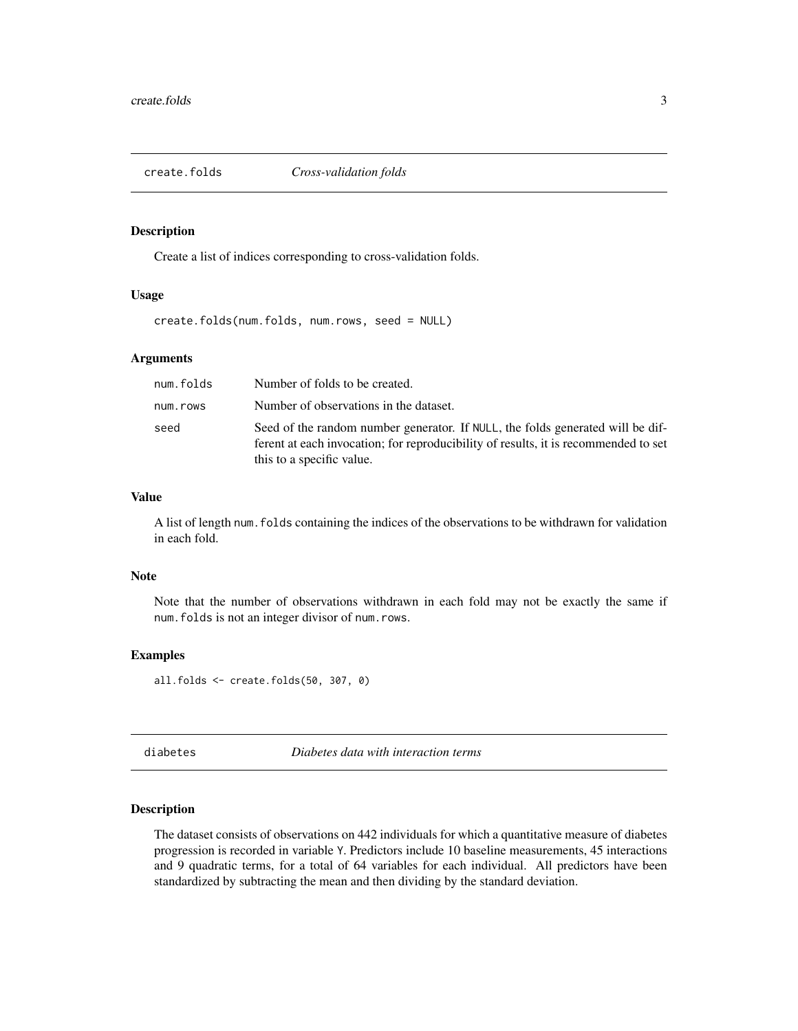<span id="page-2-0"></span>

Create a list of indices corresponding to cross-validation folds.

#### Usage

create.folds(num.folds, num.rows, seed = NULL)

#### Arguments

| num.folds | Number of folds to be created.                                                                                                                                                                     |
|-----------|----------------------------------------------------------------------------------------------------------------------------------------------------------------------------------------------------|
| num.rows  | Number of observations in the dataset.                                                                                                                                                             |
| seed      | Seed of the random number generator. If NULL, the folds generated will be dif-<br>ferent at each invocation; for reproducibility of results, it is recommended to set<br>this to a specific value. |

#### Value

A list of length num.folds containing the indices of the observations to be withdrawn for validation in each fold.

#### Note

Note that the number of observations withdrawn in each fold may not be exactly the same if num.folds is not an integer divisor of num.rows.

#### Examples

all.folds <- create.folds(50, 307, 0)

diabetes *Diabetes data with interaction terms*

#### Description

The dataset consists of observations on 442 individuals for which a quantitative measure of diabetes progression is recorded in variable Y. Predictors include 10 baseline measurements, 45 interactions and 9 quadratic terms, for a total of 64 variables for each individual. All predictors have been standardized by subtracting the mean and then dividing by the standard deviation.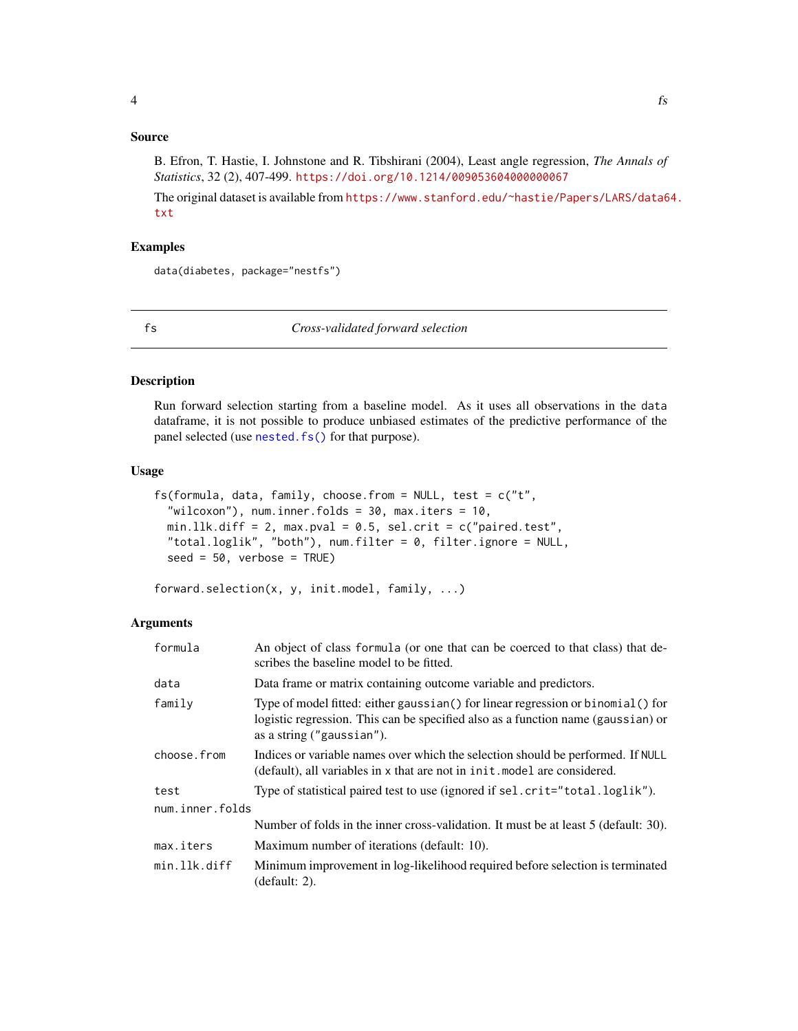#### <span id="page-3-0"></span>Source

B. Efron, T. Hastie, I. Johnstone and R. Tibshirani (2004), Least angle regression, *The Annals of Statistics*, 32 (2), 407-499. <https://doi.org/10.1214/009053604000000067>

The original dataset is available from [https://www.stanford.edu/~hastie/Papers/LARS/data6](https://www.stanford.edu/~hastie/Papers/LARS/data64.txt)4. [txt](https://www.stanford.edu/~hastie/Papers/LARS/data64.txt)

#### Examples

data(diabetes, package="nestfs")

<span id="page-3-1"></span>fs *Cross-validated forward selection*

#### Description

Run forward selection starting from a baseline model. As it uses all observations in the data dataframe, it is not possible to produce unbiased estimates of the predictive performance of the panel selected (use [nested.fs\(\)](#page-5-1) for that purpose).

#### Usage

```
fs(formula, data, family, choose.from = NULL, test = c("t","wilcoxon"), num.inner.folds = 30, max.iters = 10,
 min.llk.diff = 2, max.pval = 0.5, sel.crit = c("paired.test","total.loglik", "both"), num.filter = 0, filter.ignore = NULL,
 seed = 50, verbose = TRUE)
```
forward.selection(x, y, init.model, family, ...)

#### Arguments

| formula         | An object of class formula (or one that can be coerced to that class) that de-<br>scribes the baseline model to be fitted.                                                                       |
|-----------------|--------------------------------------------------------------------------------------------------------------------------------------------------------------------------------------------------|
| data            | Data frame or matrix containing outcome variable and predictors.                                                                                                                                 |
| family          | Type of model fitted: either gaussian() for linear regression or binomial() for<br>logistic regression. This can be specified also as a function name (gaussian) or<br>as a string ("gaussian"). |
| choose.from     | Indices or variable names over which the selection should be performed. If NULL<br>(default), all variables in x that are not in init. model are considered.                                     |
| test            | Type of statistical paired test to use (ignored if sel.crit="total.loglik").                                                                                                                     |
| num.inner.folds |                                                                                                                                                                                                  |
|                 | Number of folds in the inner cross-validation. It must be at least 5 (default: 30).                                                                                                              |
| max.iters       | Maximum number of iterations (default: 10).                                                                                                                                                      |
| min.llk.diff    | Minimum improvement in log-likelihood required before selection is terminated<br>(default: 2).                                                                                                   |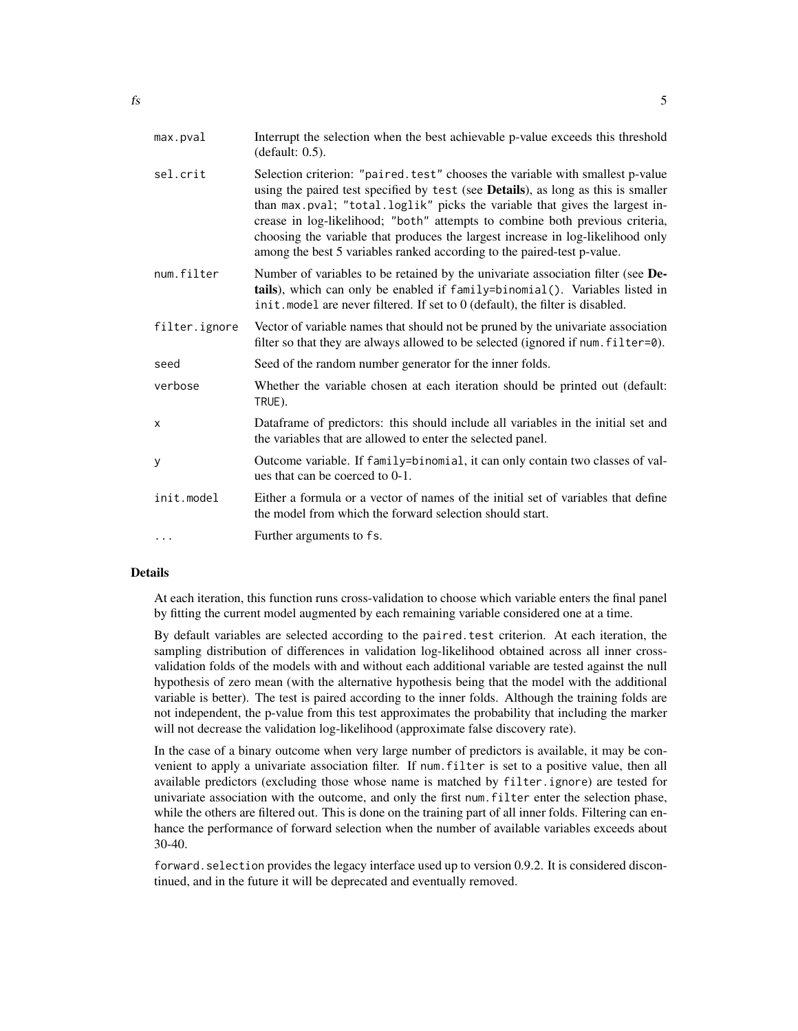| Selection criterion: "paired.test" chooses the variable with smallest p-value<br>sel.crit<br>using the paired test specified by test (see Details), as long as this is smaller<br>than max.pval; "total.loglik" picks the variable that gives the largest in-<br>crease in log-likelihood; "both" attempts to combine both previous criteria,<br>choosing the variable that produces the largest increase in log-likelihood only<br>among the best 5 variables ranked according to the paired-test p-value.<br>Number of variables to be retained by the univariate association filter (see De-<br>num.filter<br>tails), which can only be enabled if family=binomial(). Variables listed in<br>init. model are never filtered. If set to 0 (default), the filter is disabled.<br>filter.ignore<br>Vector of variable names that should not be pruned by the univariate association<br>filter so that they are always allowed to be selected (ignored if num. filter=0).<br>Seed of the random number generator for the inner folds.<br>seed<br>Whether the variable chosen at each iteration should be printed out (default:<br>verbose<br>TRUE).<br>Dataframe of predictors: this should include all variables in the initial set and<br>X<br>the variables that are allowed to enter the selected panel.<br>Outcome variable. If family=binomial, it can only contain two classes of val-<br>у<br>ues that can be coerced to 0-1.<br>Either a formula or a vector of names of the initial set of variables that define<br>init.model<br>the model from which the forward selection should start.<br>Further arguments to fs.<br>$\cdots$ | max.pval | Interrupt the selection when the best achievable p-value exceeds this threshold<br>(default: 0.5). |
|---------------------------------------------------------------------------------------------------------------------------------------------------------------------------------------------------------------------------------------------------------------------------------------------------------------------------------------------------------------------------------------------------------------------------------------------------------------------------------------------------------------------------------------------------------------------------------------------------------------------------------------------------------------------------------------------------------------------------------------------------------------------------------------------------------------------------------------------------------------------------------------------------------------------------------------------------------------------------------------------------------------------------------------------------------------------------------------------------------------------------------------------------------------------------------------------------------------------------------------------------------------------------------------------------------------------------------------------------------------------------------------------------------------------------------------------------------------------------------------------------------------------------------------------------------------------------------------------------------------------------------------------|----------|----------------------------------------------------------------------------------------------------|
|                                                                                                                                                                                                                                                                                                                                                                                                                                                                                                                                                                                                                                                                                                                                                                                                                                                                                                                                                                                                                                                                                                                                                                                                                                                                                                                                                                                                                                                                                                                                                                                                                                             |          |                                                                                                    |
|                                                                                                                                                                                                                                                                                                                                                                                                                                                                                                                                                                                                                                                                                                                                                                                                                                                                                                                                                                                                                                                                                                                                                                                                                                                                                                                                                                                                                                                                                                                                                                                                                                             |          |                                                                                                    |
|                                                                                                                                                                                                                                                                                                                                                                                                                                                                                                                                                                                                                                                                                                                                                                                                                                                                                                                                                                                                                                                                                                                                                                                                                                                                                                                                                                                                                                                                                                                                                                                                                                             |          |                                                                                                    |
|                                                                                                                                                                                                                                                                                                                                                                                                                                                                                                                                                                                                                                                                                                                                                                                                                                                                                                                                                                                                                                                                                                                                                                                                                                                                                                                                                                                                                                                                                                                                                                                                                                             |          |                                                                                                    |
|                                                                                                                                                                                                                                                                                                                                                                                                                                                                                                                                                                                                                                                                                                                                                                                                                                                                                                                                                                                                                                                                                                                                                                                                                                                                                                                                                                                                                                                                                                                                                                                                                                             |          |                                                                                                    |
|                                                                                                                                                                                                                                                                                                                                                                                                                                                                                                                                                                                                                                                                                                                                                                                                                                                                                                                                                                                                                                                                                                                                                                                                                                                                                                                                                                                                                                                                                                                                                                                                                                             |          |                                                                                                    |
|                                                                                                                                                                                                                                                                                                                                                                                                                                                                                                                                                                                                                                                                                                                                                                                                                                                                                                                                                                                                                                                                                                                                                                                                                                                                                                                                                                                                                                                                                                                                                                                                                                             |          |                                                                                                    |
|                                                                                                                                                                                                                                                                                                                                                                                                                                                                                                                                                                                                                                                                                                                                                                                                                                                                                                                                                                                                                                                                                                                                                                                                                                                                                                                                                                                                                                                                                                                                                                                                                                             |          |                                                                                                    |
|                                                                                                                                                                                                                                                                                                                                                                                                                                                                                                                                                                                                                                                                                                                                                                                                                                                                                                                                                                                                                                                                                                                                                                                                                                                                                                                                                                                                                                                                                                                                                                                                                                             |          |                                                                                                    |

#### Details

At each iteration, this function runs cross-validation to choose which variable enters the final panel by fitting the current model augmented by each remaining variable considered one at a time.

By default variables are selected according to the paired.test criterion. At each iteration, the sampling distribution of differences in validation log-likelihood obtained across all inner crossvalidation folds of the models with and without each additional variable are tested against the null hypothesis of zero mean (with the alternative hypothesis being that the model with the additional variable is better). The test is paired according to the inner folds. Although the training folds are not independent, the p-value from this test approximates the probability that including the marker will not decrease the validation log-likelihood (approximate false discovery rate).

In the case of a binary outcome when very large number of predictors is available, it may be convenient to apply a univariate association filter. If num.filter is set to a positive value, then all available predictors (excluding those whose name is matched by filter.ignore) are tested for univariate association with the outcome, and only the first num.filter enter the selection phase, while the others are filtered out. This is done on the training part of all inner folds. Filtering can enhance the performance of forward selection when the number of available variables exceeds about 30-40.

forward.selection provides the legacy interface used up to version 0.9.2. It is considered discontinued, and in the future it will be deprecated and eventually removed.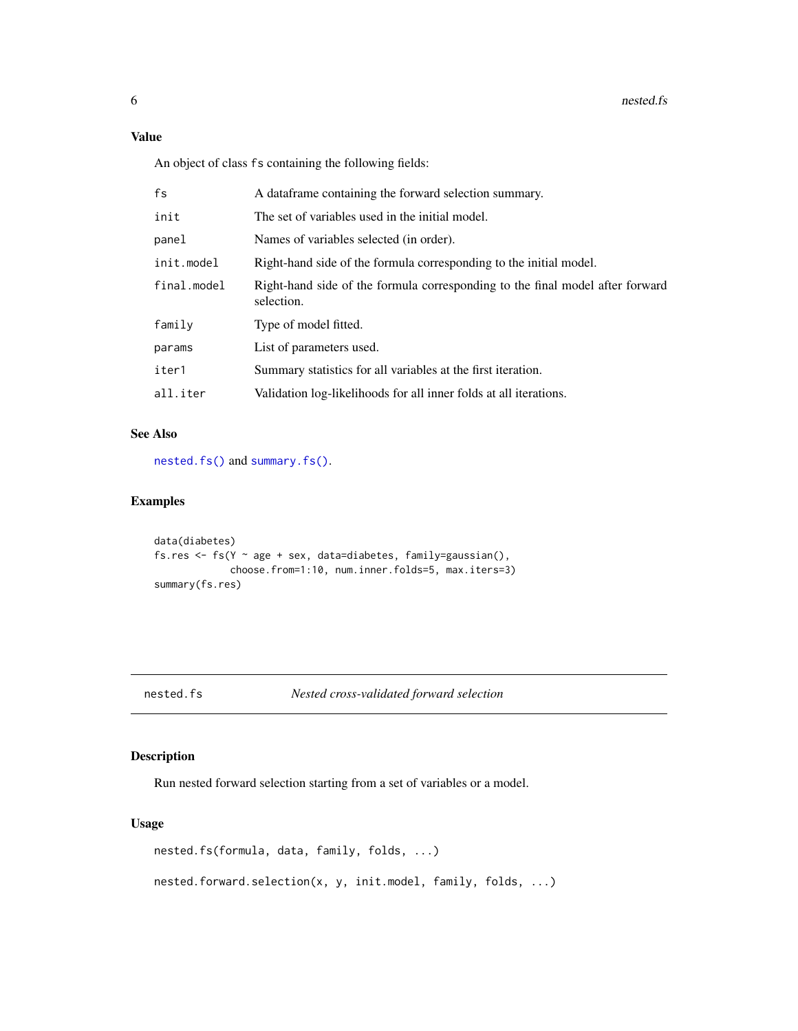<span id="page-5-0"></span>An object of class fs containing the following fields:

| fs          | A data frame containing the forward selection summary.                                      |
|-------------|---------------------------------------------------------------------------------------------|
| init        | The set of variables used in the initial model.                                             |
| panel       | Names of variables selected (in order).                                                     |
| init.model  | Right-hand side of the formula corresponding to the initial model.                          |
| final.model | Right-hand side of the formula corresponding to the final model after forward<br>selection. |
| family      | Type of model fitted.                                                                       |
| params      | List of parameters used.                                                                    |
| iter1       | Summary statistics for all variables at the first iteration.                                |
| all.iter    | Validation log-likelihoods for all inner folds at all iterations.                           |

#### See Also

[nested.fs\(\)](#page-5-1) and [summary.fs\(\)](#page-9-1).

#### Examples

```
data(diabetes)
fs.res <- fs(Y \sim age + sex, data= diabetes, family=gaussian(),choose.from=1:10, num.inner.folds=5, max.iters=3)
summary(fs.res)
```
<span id="page-5-1"></span>nested.fs *Nested cross-validated forward selection*

#### Description

Run nested forward selection starting from a set of variables or a model.

#### Usage

```
nested.fs(formula, data, family, folds, ...)
nested.forward.selection(x, y, init.model, family, folds, ...)
```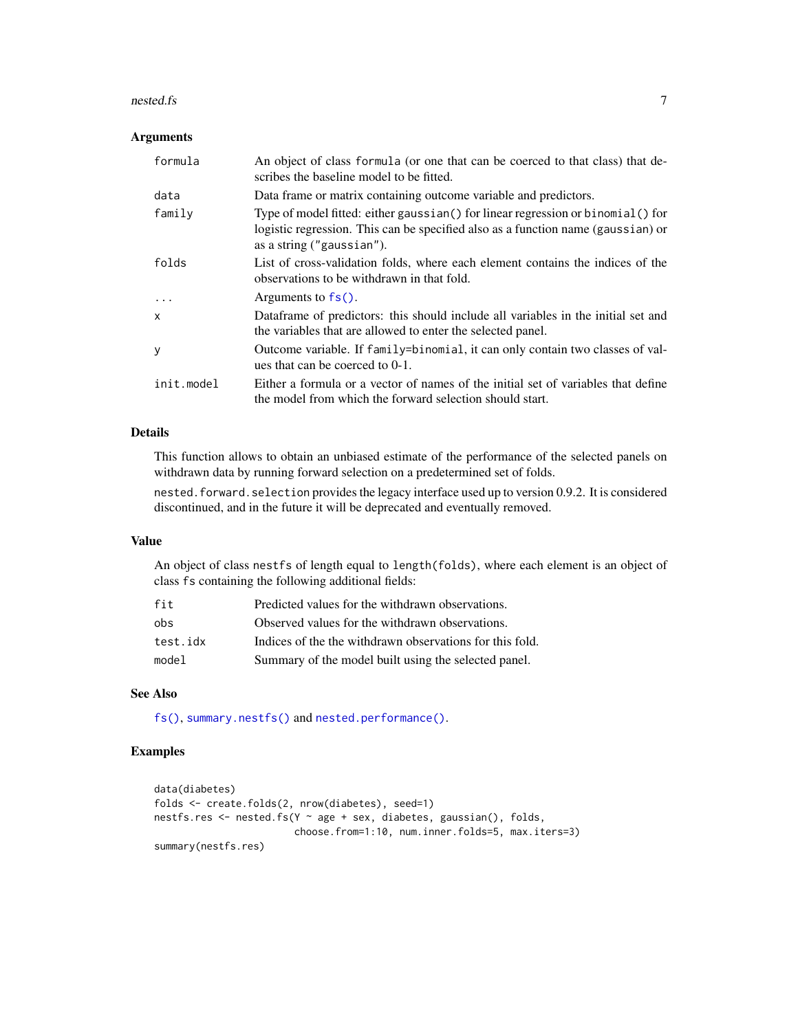#### <span id="page-6-0"></span>nested.fs 7

#### Arguments

| formula      | An object of class formula (or one that can be coerced to that class) that de-<br>scribes the baseline model to be fitted.                                                                         |
|--------------|----------------------------------------------------------------------------------------------------------------------------------------------------------------------------------------------------|
| data         | Data frame or matrix containing outcome variable and predictors.                                                                                                                                   |
| family       | Type of model fitted: either gaussian () for linear regression or binomial () for<br>logistic regression. This can be specified also as a function name (gaussian) or<br>as a string ("gaussian"). |
| folds        | List of cross-validation folds, where each element contains the indices of the<br>observations to be withdrawn in that fold.                                                                       |
| $\cdots$     | Arguments to $fs()$ .                                                                                                                                                                              |
| $\mathsf{x}$ | Dataframe of predictors: this should include all variables in the initial set and<br>the variables that are allowed to enter the selected panel.                                                   |
| У            | Outcome variable. If family=binomial, it can only contain two classes of val-<br>ues that can be coerced to 0-1.                                                                                   |
| init.model   | Either a formula or a vector of names of the initial set of variables that define<br>the model from which the forward selection should start.                                                      |

#### Details

This function allows to obtain an unbiased estimate of the performance of the selected panels on withdrawn data by running forward selection on a predetermined set of folds.

nested.forward.selection provides the legacy interface used up to version 0.9.2. It is considered discontinued, and in the future it will be deprecated and eventually removed.

#### Value

An object of class nestfs of length equal to length(folds), where each element is an object of class fs containing the following additional fields:

| fit      | Predicted values for the withdrawn observations.         |
|----------|----------------------------------------------------------|
| obs      | Observed values for the withdrawn observations.          |
| test.idx | Indices of the the withdrawn observations for this fold. |
| model    | Summary of the model built using the selected panel.     |

#### See Also

[fs\(\)](#page-3-1), [summary.nestfs\(\)](#page-10-1) and [nested.performance\(\)](#page-8-1).

#### Examples

```
data(diabetes)
folds <- create.folds(2, nrow(diabetes), seed=1)
nestfs.res \leq nested.fs(Y \sim age + sex, diabetes, gaussian(), folds,
                        choose.from=1:10, num.inner.folds=5, max.iters=3)
summary(nestfs.res)
```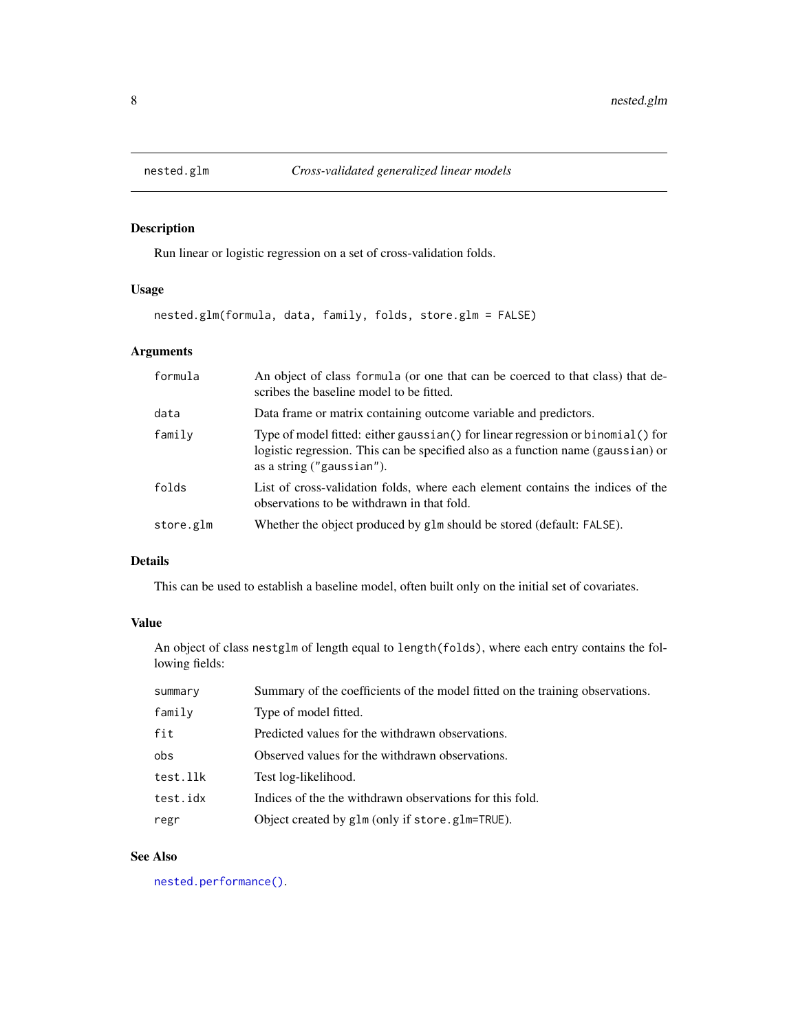<span id="page-7-1"></span><span id="page-7-0"></span>

Run linear or logistic regression on a set of cross-validation folds.

#### Usage

```
nested.glm(formula, data, family, folds, store.glm = FALSE)
```
#### Arguments

| formula   | An object of class formula (or one that can be coerced to that class) that de-<br>scribes the baseline model to be fitted.                                                                       |
|-----------|--------------------------------------------------------------------------------------------------------------------------------------------------------------------------------------------------|
| data      | Data frame or matrix containing outcome variable and predictors.                                                                                                                                 |
| family    | Type of model fitted: either gaussian() for linear regression or binomial() for<br>logistic regression. This can be specified also as a function name (gaussian) or<br>as a string ("gaussian"). |
| folds     | List of cross-validation folds, where each element contains the indices of the<br>observations to be withdrawn in that fold.                                                                     |
| store.glm | Whether the object produced by glm should be stored (default: FALSE).                                                                                                                            |

#### Details

This can be used to establish a baseline model, often built only on the initial set of covariates.

#### Value

An object of class nestglm of length equal to length(folds), where each entry contains the following fields:

| summary  | Summary of the coefficients of the model fitted on the training observations. |
|----------|-------------------------------------------------------------------------------|
| family   | Type of model fitted.                                                         |
| fit      | Predicted values for the withdrawn observations.                              |
| obs      | Observed values for the withdrawn observations.                               |
| test.llk | Test log-likelihood.                                                          |
| test.idx | Indices of the the withdrawn observations for this fold.                      |
| regr     | Object created by glm (only if store.glm=TRUE).                               |

#### See Also

[nested.performance\(\)](#page-8-1).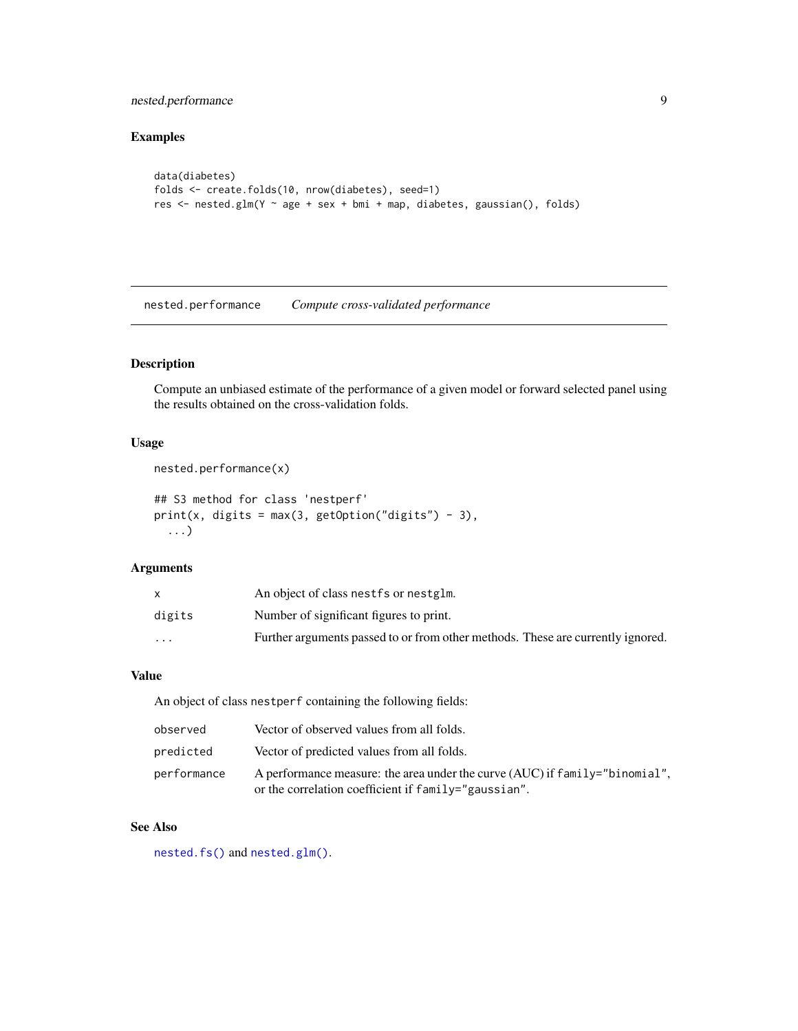#### <span id="page-8-0"></span>nested.performance 9

#### Examples

```
data(diabetes)
folds <- create.folds(10, nrow(diabetes), seed=1)
res <- nested.glm(Y ~ age + sex + bmi + map, diabetes, gaussian(), folds)
```
<span id="page-8-1"></span>nested.performance *Compute cross-validated performance*

#### Description

Compute an unbiased estimate of the performance of a given model or forward selected panel using the results obtained on the cross-validation folds.

#### Usage

```
nested.performance(x)
```

```
## S3 method for class 'nestperf'
print(x, digits = max(3, getOption("digits") - 3),...)
```
#### Arguments

|                         | An object of class nest fs or nestglm.                                          |
|-------------------------|---------------------------------------------------------------------------------|
| digits                  | Number of significant figures to print.                                         |
| $\cdot$ $\cdot$ $\cdot$ | Further arguments passed to or from other methods. These are currently ignored. |

#### Value

An object of class nestperf containing the following fields:

| observed    | Vector of observed values from all folds.                                                                                             |
|-------------|---------------------------------------------------------------------------------------------------------------------------------------|
| predicted   | Vector of predicted values from all folds.                                                                                            |
| performance | A performance measure: the area under the curve $(AUC)$ if family="binomial",<br>or the correlation coefficient if family="gaussian". |

#### See Also

[nested.fs\(\)](#page-5-1) and [nested.glm\(\)](#page-7-1).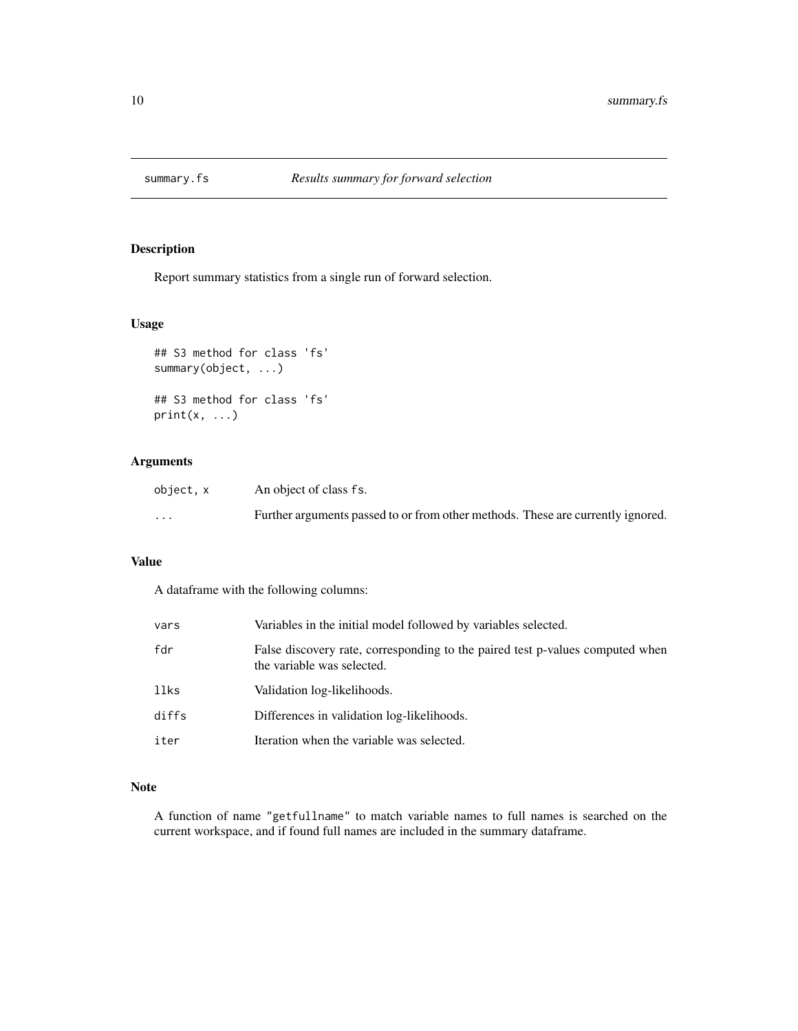<span id="page-9-1"></span><span id="page-9-0"></span>

Report summary statistics from a single run of forward selection.

#### Usage

```
## S3 method for class 'fs'
summary(object, ...)
## S3 method for class 'fs'
print(x, \ldots)
```
#### Arguments

| object.x                | An object of class fs.                                                          |
|-------------------------|---------------------------------------------------------------------------------|
| $\cdot$ $\cdot$ $\cdot$ | Further arguments passed to or from other methods. These are currently ignored. |

#### Value

A dataframe with the following columns:

| vars  | Variables in the initial model followed by variables selected.                                              |
|-------|-------------------------------------------------------------------------------------------------------------|
| fdr   | False discovery rate, corresponding to the paired test p-values computed when<br>the variable was selected. |
| llks  | Validation log-likelihoods.                                                                                 |
| diffs | Differences in validation log-likelihoods.                                                                  |
| iter  | Iteration when the variable was selected.                                                                   |

#### Note

A function of name "getfullname" to match variable names to full names is searched on the current workspace, and if found full names are included in the summary dataframe.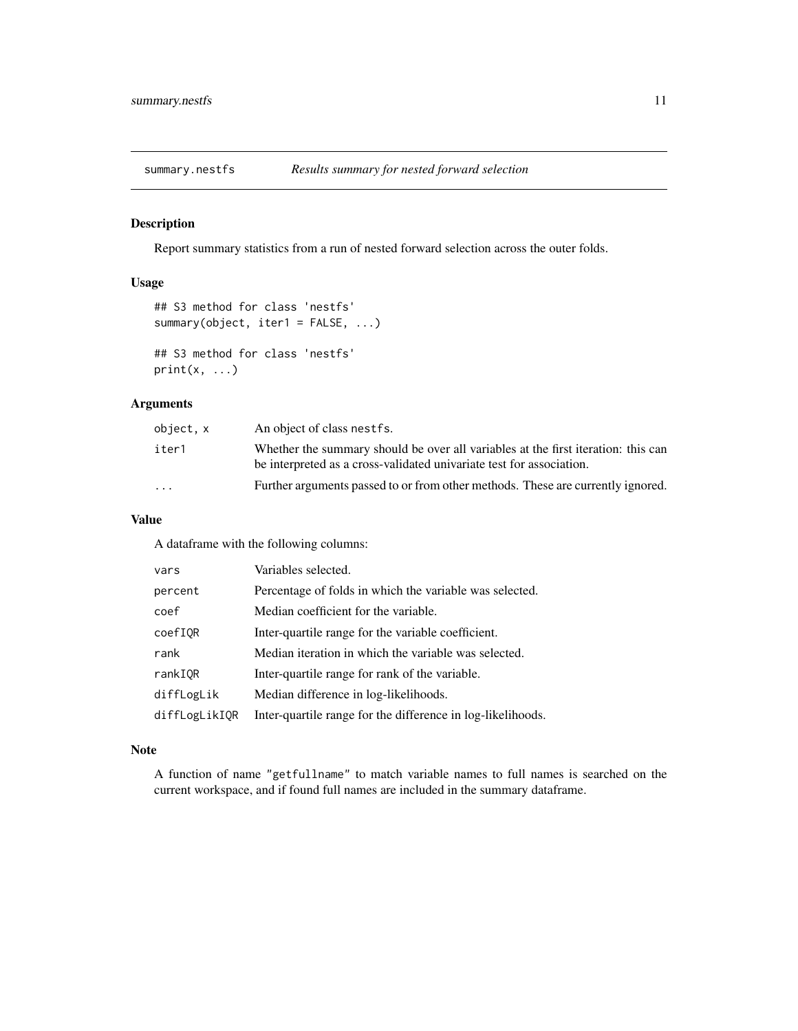<span id="page-10-1"></span><span id="page-10-0"></span>

Report summary statistics from a run of nested forward selection across the outer folds.

#### Usage

```
## S3 method for class 'nestfs'
summary(object, iter1 = FALSE, ...)
## S3 method for class 'nestfs'
print(x, \ldots)
```
#### Arguments

| object, x               | An object of class nest fs.                                                                                                                               |
|-------------------------|-----------------------------------------------------------------------------------------------------------------------------------------------------------|
| iter1                   | Whether the summary should be over all variables at the first iteration: this can<br>be interpreted as a cross-validated univariate test for association. |
| $\cdot$ $\cdot$ $\cdot$ | Further arguments passed to or from other methods. These are currently ignored.                                                                           |

#### Value

A dataframe with the following columns:

| vars          | Variables selected.                                         |
|---------------|-------------------------------------------------------------|
| percent       | Percentage of folds in which the variable was selected.     |
| coef          | Median coefficient for the variable.                        |
| coefIQR       | Inter-quartile range for the variable coefficient.          |
| rank          | Median iteration in which the variable was selected.        |
| rankIOR       | Inter-quartile range for rank of the variable.              |
| diffLogLik    | Median difference in log-likelihoods.                       |
| diffLogLikIQR | Inter-quartile range for the difference in log-likelihoods. |

#### Note

A function of name "getfullname" to match variable names to full names is searched on the current workspace, and if found full names are included in the summary dataframe.